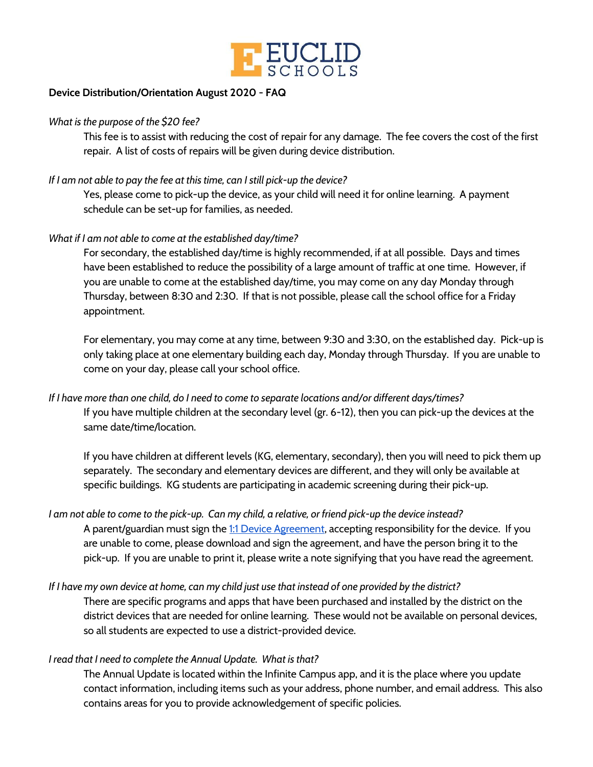

# **Device Distribution/Orientation August 2020 - FAQ**

#### *What is the purpose of the \$20 fee?*

This fee is to assist with reducing the cost of repair for any damage. The fee covers the cost of the first repair. A list of costs of repairs will be given during device distribution.

## *If I am not able to pay the fee at this time, can I still pick-up the device?*

Yes, please come to pick-up the device, as your child will need it for online learning. A payment schedule can be set-up for families, as needed.

#### *What if I am not able to come at the established day/time?*

For secondary, the established day/time is highly recommended, if at all possible. Days and times have been established to reduce the possibility of a large amount of traffic at one time. However, if you are unable to come at the established day/time, you may come on any day Monday through Thursday, between 8:30 and 2:30. If that is not possible, please call the school office for a Friday appointment.

For elementary, you may come at any time, between 9:30 and 3:30, on the established day. Pick-up is only taking place at one elementary building each day, Monday through Thursday. If you are unable to come on your day, please call your school office.

If I have more than one child, do I need to come to separate locations and/or different days/times? If you have multiple children at the secondary level (gr. 6-12), then you can pick-up the devices at the same date/time/location.

If you have children at different levels (KG, elementary, secondary), then you will need to pick them up separately. The secondary and elementary devices are different, and they will only be available at specific buildings. KG students are participating in academic screening during their pick-up.

I am not able to come to the pick-up. Can my child, a relative, or friend pick-up the device instead? A parent/guardian must sign the 1:1 Device [Agreement](https://drive.google.com/file/d/1sZq7Hj4l9FHvZwSfPb0tspnV8WWYU3cN/view?usp=sharing), accepting responsibility for the device. If you are unable to come, please download and sign the agreement, and have the person bring it to the pick-up. If you are unable to print it, please write a note signifying that you have read the agreement.

If I have my own device at home, can my child just use that instead of one provided by the district? There are specific programs and apps that have been purchased and installed by the district on the district devices that are needed for online learning. These would not be available on personal devices, so all students are expected to use a district-provided device.

# *I read that I need to complete the Annual Update. What is that?*

The Annual Update is located within the Infinite Campus app, and it is the place where you update contact information, including items such as your address, phone number, and email address. This also contains areas for you to provide acknowledgement of specific policies.